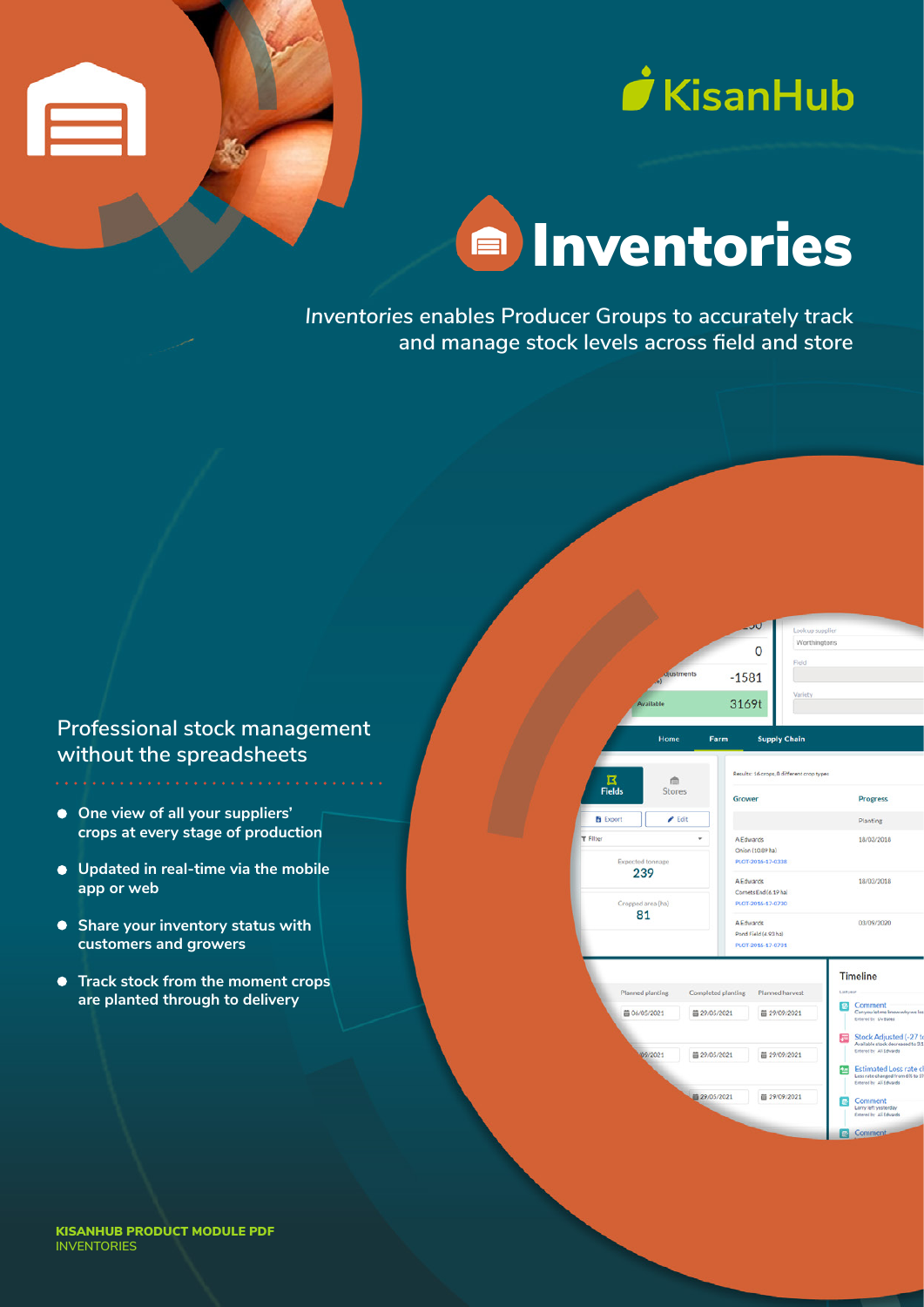



# **E** Inventories

*Inventories e***nables Producer Groups to accurately track and manage stock levels across field and store**

## **Professional stock management without the spreadsheets**

- **One view of all your suppliers' crops at every stage of production**
- **Updated in real-time via the mobile app or web**
- **Share your inventory status with customers and growers**
- **Track stock from the moment crops are planted through to delivery**



 $\overline{0}$  $-1581$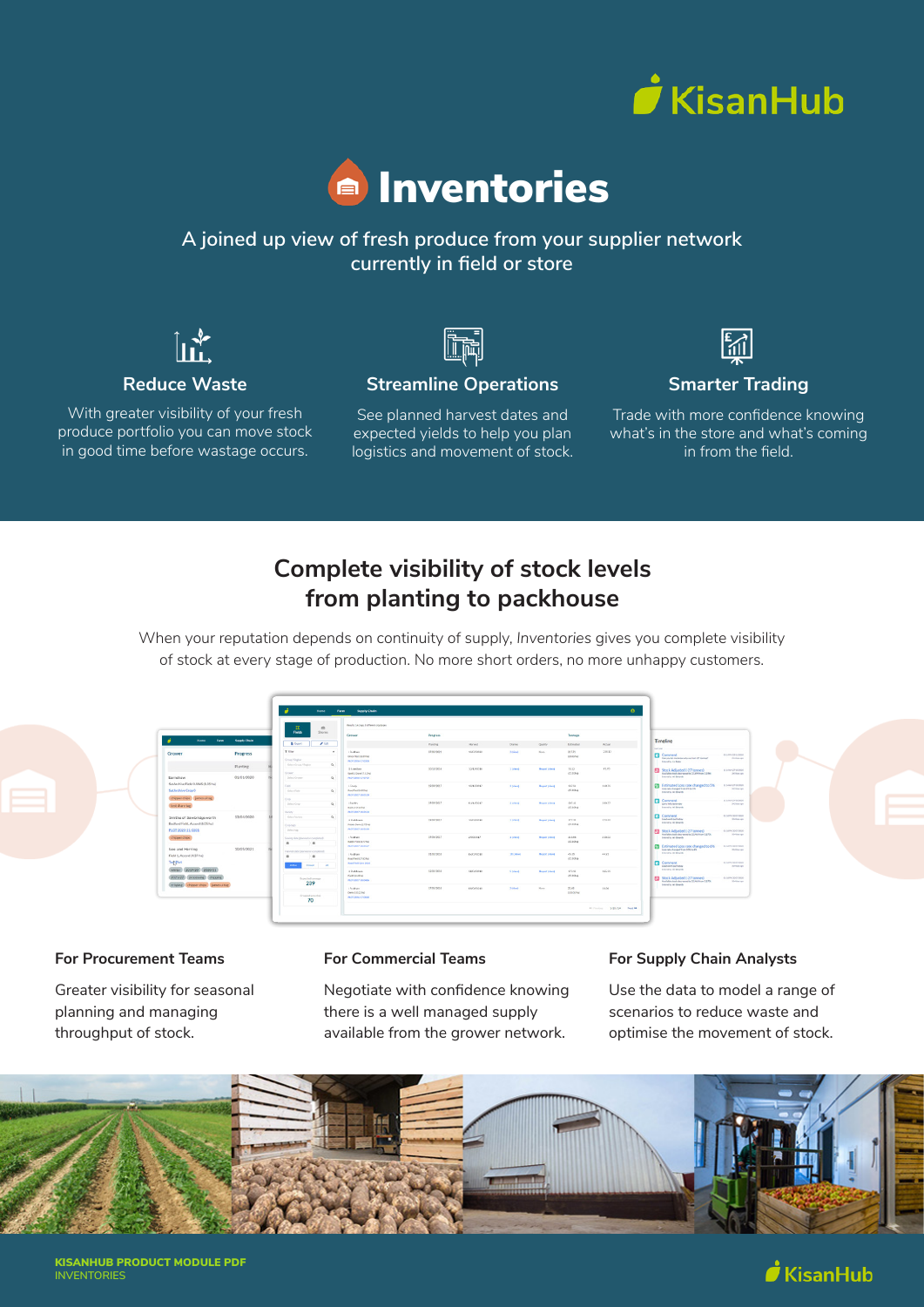



## **A joined up view of fresh produce from your supplier network currently in field or store**



## **Reduce Waste**

With greater visibility of your fresh produce portfolio you can move stock in good time before wastage occurs.

**Streamline Operations**

See planned harvest dates and expected yields to help you plan logistics and movement of stock.



## **Smarter Trading**

Trade with more confidence knowing what's in the store and what's coming in from the field.

## **Complete visibility of stock levels from planting to packhouse**

When your reputation depends on continuity of supply, *Inventories* gives you complete visibility of stock at every stage of production. No more short orders, no more unhappy customers.



#### **For Procurement Teams**

Greater visibility for seasonal planning and managing throughput of stock.

#### **For Commercial Teams**

Negotiate with confidence knowing there is a well managed supply available from the grower network.

#### **For Supply Chain Analysts**

Use the data to model a range of scenarios to reduce waste and optimise the movement of stock.



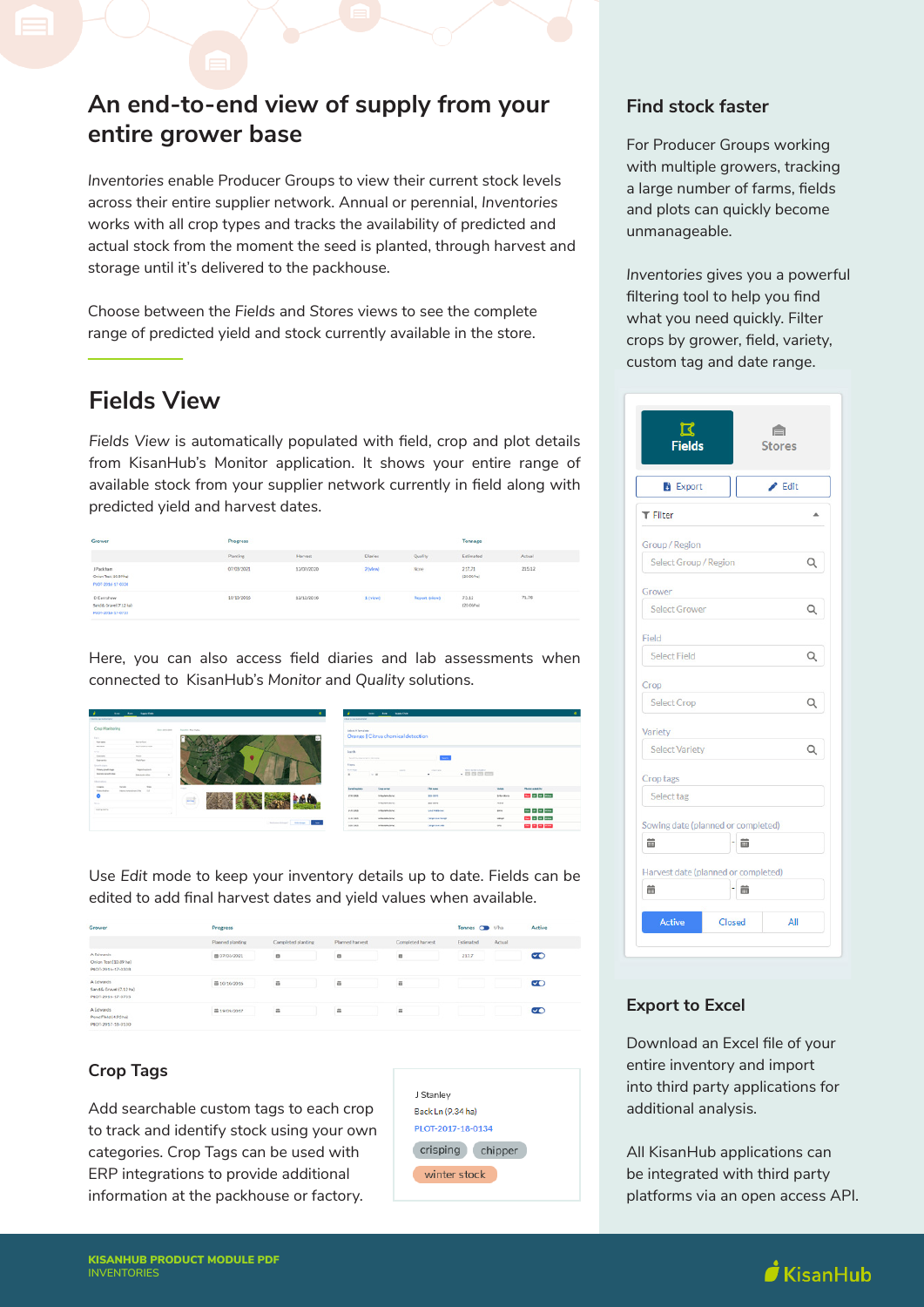## **An end-to-end view of supply from your entire grower base**

*Inventories* enable Producer Groups to view their current stock levels across their entire supplier network. Annual or perennial, *Inventories* works with all crop types and tracks the availability of predicted and actual stock from the moment the seed is planted, through harvest and storage until it's delivered to the packhouse.

Choose between the *Fields* and *Stores* views to see the complete range of predicted yield and stock currently available in the store.

## **Fields View**

*Fields View* is automatically populated with field, crop and plot details from KisanHub's Monitor application. It shows your entire range of available stock from your supplier network currently in field along with predicted yield and harvest dates.

| Grower                                                     | Progress                           |            |                |                      | Tonnage              |        |
|------------------------------------------------------------|------------------------------------|------------|----------------|----------------------|----------------------|--------|
|                                                            | Plantine                           | Harvest    | <b>Disries</b> | Quality              | Estimated            | Actual |
| J Packham<br>Onion Test   93.99 hp/<br>PLOT-2016-17 0338   | 07/03/2021                         | 12/07/2020 | 2 (view)       | None                 | 217.71<br>(2000/hs)  | 215.12 |
| D Earnshow<br>Sand & Oravel (7.12 ha)<br>PLOT-2016-17-0735 | 10/10/2016<br><b>START CONTROL</b> | 12/12/2016 | 1 (view)       | <b>Report (view)</b> | 73.12<br>(20 00 hai) | 71.76  |

Here, you can also access field diaries and lab assessments when connected to KisanHub's *Monitor* and *Quality* solutions.

| <b>STATE</b>                                             | <b><i><u>Render</u></i></b><br>them.         |             |                                    | ۰                                          | <b>SHOW:</b>              | <b>Ave., handles</b>                                                                           |                          |                  |                        |  |
|----------------------------------------------------------|----------------------------------------------|-------------|------------------------------------|--------------------------------------------|---------------------------|------------------------------------------------------------------------------------------------|--------------------------|------------------|------------------------|--|
| <b>TRAFFIC CAR SURFACES</b>                              |                                              |             |                                    | <b>TRAFFIC ASSOCIATE</b>                   |                           |                                                                                                |                          |                  |                        |  |
| Crop Manitoring<br><b>Farm</b>                           |                                              | for prices. | <b><i>Standard Rear Factor</i></b> |                                            | Select A Template         | Orange   Citrus chemical detection                                                             |                          |                  |                        |  |
| <b>Amount</b><br><b>BEAM</b>                             | <b>Securities</b><br>ACCORD FOR              |             |                                    |                                            |                           |                                                                                                |                          |                  |                        |  |
| tra.                                                     |                                              |             |                                    | <b>Sank</b>                                |                           |                                                                                                |                          |                  |                        |  |
| income.                                                  | <b>TOTAL</b>                                 |             | ٠                                  |                                            |                           |                                                                                                |                          |                  |                        |  |
| <b>Copyright</b>                                         | <b>Hollywood</b>                             |             |                                    |                                            | bookly started to detects |                                                                                                | $\sim$                   |                  |                        |  |
| Grand capital                                            |                                              |             |                                    | Fites                                      |                           |                                                                                                |                          |                  |                        |  |
| <b><i><u>Richmont Hotel</u></i></b><br>buyer is with the | <b>Statistical</b><br><b>Resident Avenue</b> |             |                                    | <b>Burney</b><br>$\alpha$                  | <b>DOM:</b>               | $\frac{1}{2} \left( \frac{1}{2} \right) \left( \frac{1}{2} \right) \left( \frac{1}{2} \right)$ | <b>CONTRACTOR</b>        | $-$              |                        |  |
|                                                          |                                              |             |                                    |                                            |                           |                                                                                                |                          |                  |                        |  |
| <b>International</b>                                     |                                              |             |                                    |                                            |                           |                                                                                                |                          |                  |                        |  |
| <b>STATE</b><br><b>Telestrate</b>                        | $\sim$<br>Total Co.<br>International Part 12 |             | <b>State</b>                       | Instructor                                 |                           | Genevar                                                                                        | <b>That same</b>         | <b>Wellen</b>    | <b>Hubertown Bank</b>  |  |
|                                                          |                                              |             | 크                                  | <b>CRISIN</b>                              |                           | <b>INSURANCE</b>                                                                               | <b>Bill Bill</b>         | B-Scottists      | the call of the        |  |
| -                                                        |                                              |             |                                    |                                            |                           | <b>Information</b>                                                                             | <b>Big Biff</b>          | nes.             |                        |  |
| <b>Send or Marine</b>                                    |                                              |             |                                    | PAUDE                                      |                           | <b>IN BARBARA BRIDE</b>                                                                        | <b>UNITED IN</b>         | ports.           | the party of the party |  |
|                                                          |                                              |             |                                    | <b>T-A-1000</b><br>"School Shout"   Helena |                           | <b>Holladogio State</b>                                                                        | <b>Companies Manager</b> | <b>VIRGER</b>    | <b>September</b>       |  |
|                                                          |                                              |             |                                    | $\sim$<br>101183                           |                           | <b><i>Included Enter</i></b>                                                                   | <b>STEPHANE</b>          | $\omega_{\rm 0}$ | ----                   |  |

Use *Edit* mode to keep your inventory details up to date. Fields can be edited to add final harvest dates and yield values when available.

| Grower                                                    | Progress         |                    |                 |                   | Tonnes <b>OB</b> t/ha |        | Active    |
|-----------------------------------------------------------|------------------|--------------------|-----------------|-------------------|-----------------------|--------|-----------|
|                                                           | Planned planting | Completed planting | Planned harvest | Completed harvest | Estimated             | Actual |           |
| A Edwards<br>Onion Test (\$0.89 ha)<br>PLOT-2016-17-0308  | 画 07/03/2021     | 苗                  | i.              | 画                 | 217.7                 |        | $\bullet$ |
| A Edwards<br>Sand & Crayel (7.12 ha)<br>PLOT-2016-17-0735 | 面 10/10/2016     | 蒜                  | ä               | ä                 |                       |        | $\bullet$ |
| A Edwards<br>Pond Fleid (4.93 ha)<br>PLOT-2017-18-0130    | ■ 19/09/2017     | ä                  | 关               | $\widetilde{m}$   |                       |        | $\sigma$  |

### **Crop Tags**

Add searchable custom tags to each crop to track and identify stock using your own categories. Crop Tags can be used with ERP integrations to provide additional information at the packhouse or factory.



## **Find stock faster**

For Producer Groups working with multiple growers, tracking a large number of farms, fields and plots can quickly become unmanageable.

*Inventories* gives you a powerful filtering tool to help you find what you need quickly. Filter crops by grower, field, variety, custom tag and date range.

| <b>Fields</b>                       |        | <b>Stores</b> |   |
|-------------------------------------|--------|---------------|---|
| <b>Export</b>                       |        | Edit          |   |
| <b>T</b> Filter                     |        |               |   |
| Group / Region                      |        |               |   |
| Select Group / Region               |        |               | Q |
| Grower                              |        |               |   |
| <b>Select Grower</b>                |        |               | Q |
| Field                               |        |               |   |
| <b>Select Field</b>                 |        |               | Q |
| Crop                                |        |               |   |
| <b>Select Crop</b>                  |        |               | Q |
| Variety                             |        |               |   |
| <b>Select Variety</b>               |        |               | Q |
| Crop tags                           |        |               |   |
| Select tag                          |        |               |   |
| Sowing date (planned or completed)  |        |               |   |
| 龠                                   | 蘦      |               |   |
| Harvest date (planned or completed) |        |               |   |
| 齒                                   | 齒      |               |   |
| <b>Active</b>                       | Closed | All           |   |

### **Export to Excel**

Download an Excel file of your entire inventory and import into third party applications for additional analysis.

All KisanHub applications can be integrated with third party platforms via an open access API.